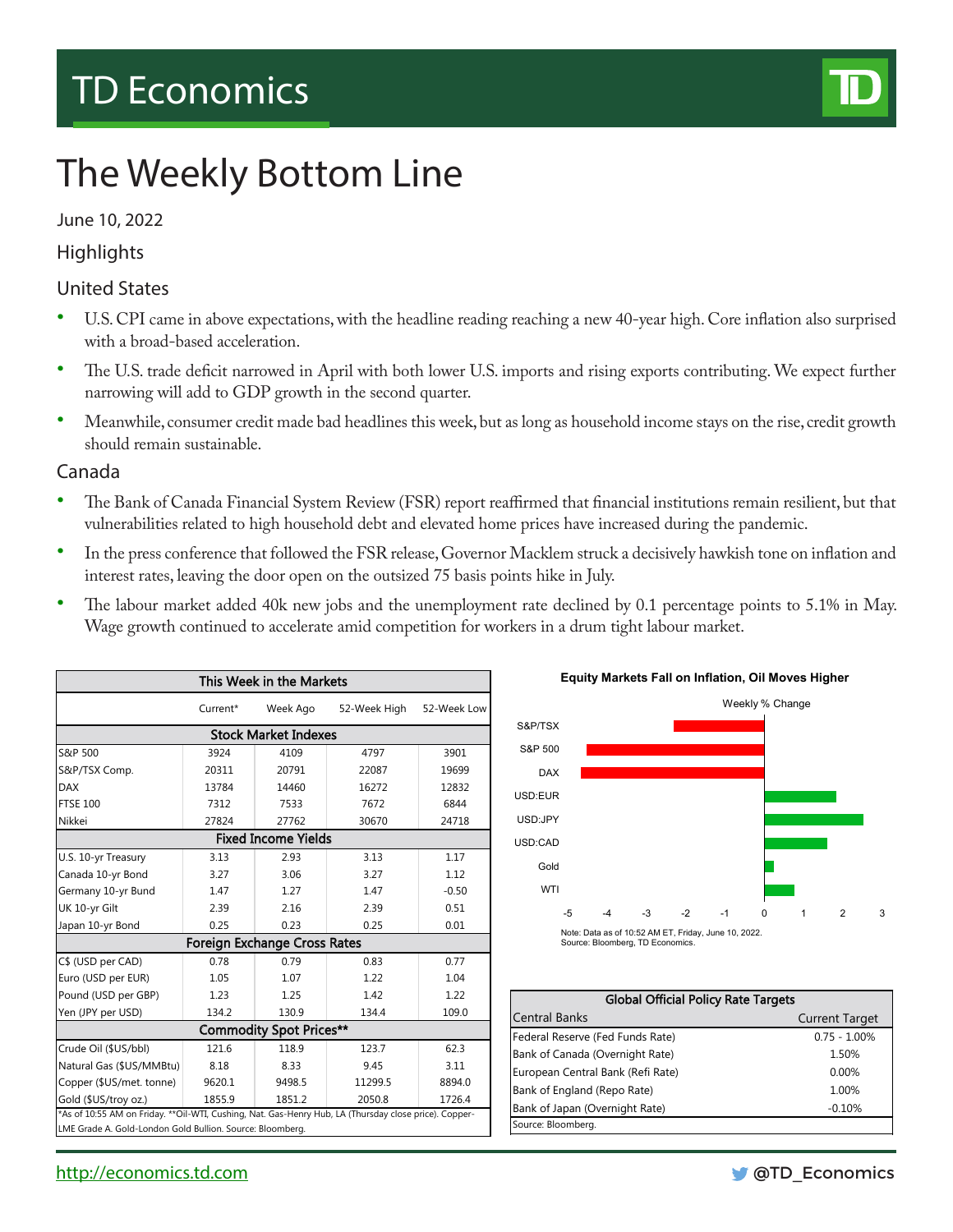# TD Economics



# The Weekly Bottom Line

#### June 10, 2022

### **Highlights**

### United States

- U.S. CPI came in above expectations, with the headline reading reaching a new 40-year high. Core inflation also surprised with a broad-based acceleration.
- The U.S. trade deficit narrowed in April with both lower U.S. imports and rising exports contributing. We expect further narrowing will add to GDP growth in the second quarter.
- Meanwhile, consumer credit made bad headlines this week, but as long as household income stays on the rise, credit growth should remain sustainable.

#### Canada

- The Bank of Canada Financial System Review (FSR) report reaffirmed that financial institutions remain resilient, but that vulnerabilities related to high household debt and elevated home prices have increased during the pandemic.
- In the press conference that followed the FSR release, Governor Macklem struck a decisively hawkish tone on inflation and interest rates, leaving the door open on the outsized 75 basis points hike in July.
- The labour market added 40k new jobs and the unemployment rate declined by 0.1 percentage points to 5.1% in May. Wage growth continued to accelerate amid competition for workers in a drum tight labour market.

| This Week in the Markets                                                                               |                         |          |              |             |  |  |  |  |
|--------------------------------------------------------------------------------------------------------|-------------------------|----------|--------------|-------------|--|--|--|--|
|                                                                                                        | Current*                | Week Ago | 52-Week High | 52-Week Low |  |  |  |  |
| <b>Stock Market Indexes</b>                                                                            |                         |          |              |             |  |  |  |  |
| S&P 500                                                                                                | 3901<br>4797            |          |              |             |  |  |  |  |
| S&P/TSX Comp.                                                                                          | 20311                   | 20791    | 22087        | 19699       |  |  |  |  |
| <b>DAX</b>                                                                                             | 13784                   | 14460    | 16272        | 12832       |  |  |  |  |
| <b>FTSE 100</b>                                                                                        | 7312                    | 7533     | 7672         | 6844        |  |  |  |  |
| Nikkei                                                                                                 | 27824<br>27762<br>30670 |          |              | 24718       |  |  |  |  |
| <b>Fixed Income Yields</b>                                                                             |                         |          |              |             |  |  |  |  |
| U.S. 10-yr Treasury                                                                                    | 3.13                    | 2.93     | 3.13         | 1.17        |  |  |  |  |
| Canada 10-yr Bond                                                                                      | 3.27                    | 3.06     | 3.27         | 1.12        |  |  |  |  |
| Germany 10-yr Bund                                                                                     | 1.47                    | 1.27     | 1.47         | $-0.50$     |  |  |  |  |
| UK 10-yr Gilt                                                                                          | 2.39                    | 2.16     | 2.39         | 0.51        |  |  |  |  |
| Japan 10-yr Bond                                                                                       | 0.25                    | 0.23     | 0.25         | 0.01        |  |  |  |  |
| <b>Foreign Exchange Cross Rates</b>                                                                    |                         |          |              |             |  |  |  |  |
| C\$ (USD per CAD)                                                                                      | 0.78                    | 0.79     | 0.83         | 0.77        |  |  |  |  |
| Euro (USD per EUR)                                                                                     | 1.05                    | 1.07     | 1.22         | 1.04        |  |  |  |  |
| Pound (USD per GBP)                                                                                    | 1.23                    | 1.25     | 1.42         | 1.22        |  |  |  |  |
| Yen (JPY per USD)                                                                                      | 134.2                   | 130.9    | 134.4        |             |  |  |  |  |
| <b>Commodity Spot Prices**</b>                                                                         |                         |          |              |             |  |  |  |  |
| Crude Oil (\$US/bbl)                                                                                   | 121.6                   | 118.9    | 123.7        | 62.3        |  |  |  |  |
| Natural Gas (\$US/MMBtu)                                                                               | 8.18                    | 8.33     | 9.45         | 3.11        |  |  |  |  |
| Copper (\$US/met. tonne)                                                                               | 9620.1                  | 9498.5   | 11299.5      | 8894.0      |  |  |  |  |
| Gold (\$US/troy oz.)                                                                                   | 1855.9                  | 1851.2   | 2050.8       | 1726.4      |  |  |  |  |
| *As of 10:55 AM on Friday. ** Oil-WTI, Cushing, Nat. Gas-Henry Hub, LA (Thursday close price). Copper- |                         |          |              |             |  |  |  |  |
| LME Grade A. Gold-London Gold Bullion. Source: Bloomberg.                                              |                         |          |              |             |  |  |  |  |



| <b>Global Official Policy Rate Targets</b> |                       |  |  |  |  |
|--------------------------------------------|-----------------------|--|--|--|--|
| <b>Central Banks</b>                       | <b>Current Target</b> |  |  |  |  |
| Federal Reserve (Fed Funds Rate)           | $0.75 - 1.00\%$       |  |  |  |  |
| Bank of Canada (Overnight Rate)            | 1.50%                 |  |  |  |  |
| European Central Bank (Refi Rate)          | $0.00\%$              |  |  |  |  |
| Bank of England (Repo Rate)                | 1.00%                 |  |  |  |  |
| Bank of Japan (Overnight Rate)             | $-0.10%$              |  |  |  |  |
| Source: Bloomberg.                         |                       |  |  |  |  |

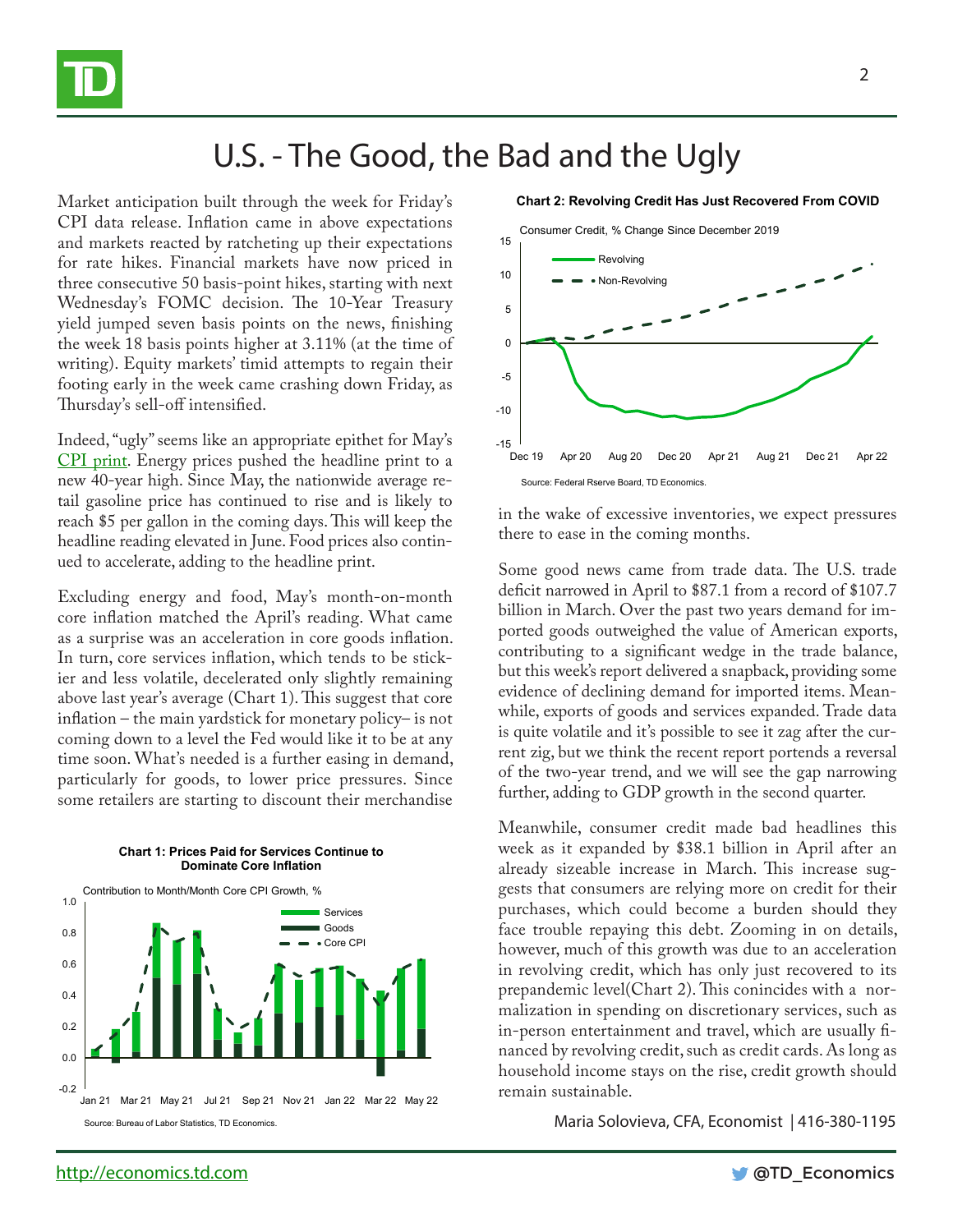

### U.S. - The Good, the Bad and the Ugly

Market anticipation built through the week for Friday's CPI data release. Inflation came in above expectations and markets reacted by ratcheting up their expectations for rate hikes. Financial markets have now priced in three consecutive 50 basis-point hikes, starting with next Wednesday's FOMC decision. The 10-Year Treasury yield jumped seven basis points on the news, finishing the week 18 basis points higher at 3.11% (at the time of writing). Equity markets' timid attempts to regain their footing early in the week came crashing down Friday, as Thursday's sell-off intensified.

Indeed, "ugly" seems like an appropriate epithet for May's [CPI print.](https://economics.td.com/us-cpi) Energy prices pushed the headline print to a new 40-year high. Since May, the nationwide average retail gasoline price has continued to rise and is likely to reach \$5 per gallon in the coming days. This will keep the headline reading elevated in June. Food prices also continued to accelerate, adding to the headline print.

Excluding energy and food, May's month-on-month core inflation matched the April's reading. What came as a surprise was an acceleration in core goods inflation. In turn, core services inflation, which tends to be stickier and less volatile, decelerated only slightly remaining above last year's average (Chart 1). This suggest that core inflation – the main yardstick for monetary policy– is not coming down to a level the Fed would like it to be at any time soon. What's needed is a further easing in demand, particularly for goods, to lower price pressures. Since some retailers are starting to discount their merchandise



**Chart 1: Prices Paid for Services Continue to** 



in the wake of excessive inventories, we expect pressures there to ease in the coming months.

Some good news came from trade data. The U.S. trade deficit narrowed in April to \$87.1 from a record of \$107.7 billion in March. Over the past two years demand for imported goods outweighed the value of American exports, contributing to a significant wedge in the trade balance, but this week's report delivered a snapback, providing some evidence of declining demand for imported items. Meanwhile, exports of goods and services expanded. Trade data is quite volatile and it's possible to see it zag after the current zig, but we think the recent report portends a reversal of the two-year trend, and we will see the gap narrowing further, adding to GDP growth in the second quarter.

Meanwhile, consumer credit made bad headlines this week as it expanded by \$38.1 billion in April after an already sizeable increase in March. This increase suggests that consumers are relying more on credit for their purchases, which could become a burden should they face trouble repaying this debt. Zooming in on details, however, much of this growth was due to an acceleration in revolving credit, which has only just recovered to its prepandemic level(Chart 2). This conincides with a normalization in spending on discretionary services, such as in-person entertainment and travel, which are usually financed by revolving credit, such as credit cards. As long as household income stays on the rise, credit growth should

Maria Solovieva, CFA, Economist | 416-380-1195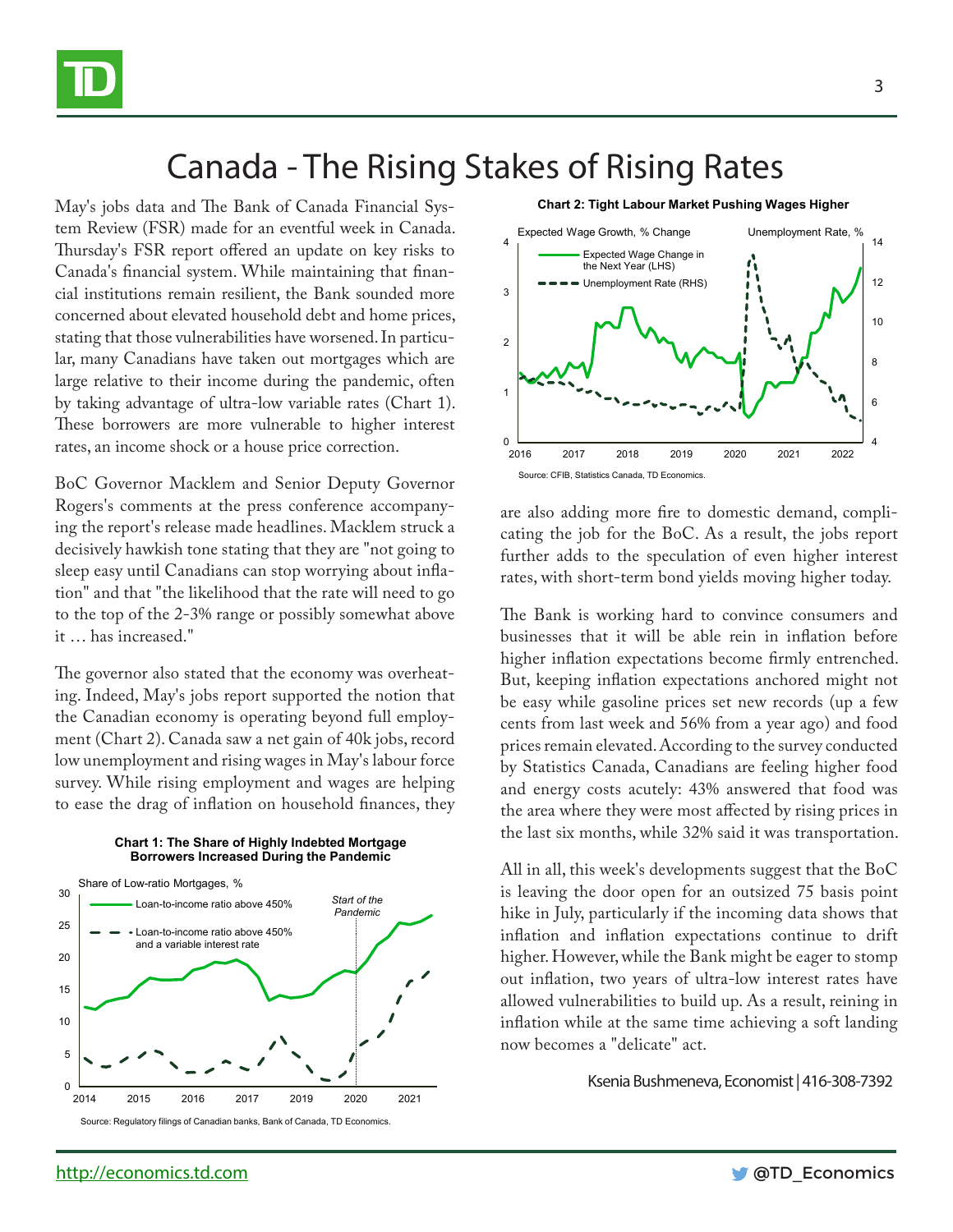

## Canada - The Rising Stakes of Rising Rates

May's jobs data and The Bank of Canada Financial System Review (FSR) made for an eventful week in Canada. Thursday's FSR report offered an update on key risks to Canada's financial system. While maintaining that financial institutions remain resilient, the Bank sounded more concerned about elevated household debt and home prices, stating that those vulnerabilities have worsened. In particular, many Canadians have taken out mortgages which are large relative to their income during the pandemic, often by taking advantage of ultra-low variable rates (Chart 1). These borrowers are more vulnerable to higher interest rates, an income shock or a house price correction.

BoC Governor Macklem and Senior Deputy Governor Rogers's comments at the press conference accompanying the report's release made headlines. Macklem struck a decisively hawkish tone stating that they are "not going to sleep easy until Canadians can stop worrying about inflation" and that "the likelihood that the rate will need to go to the top of the 2-3% range or possibly somewhat above it … has increased."

The governor also stated that the economy was overheating. Indeed, May's jobs report supported the notion that the Canadian economy is operating beyond full employment (Chart 2). Canada saw a net gain of 40k jobs, record low unemployment and rising wages in May's labour force survey. While rising employment and wages are helping to ease the drag of inflation on household finances, they

**Chart 1: The Share of Highly Indebted Mortgage** 



4 6 8  $10$ 12 14  $\frac{0}{2016}$ 1 2 3 4 2016 2017 2018 2019 2020 2021 2022 Expected Wage Change in the Next Year (LHS) Unemployment Rate (RHS) Expected Wage Growth, % Change Unemployment Rate, % **Chart 2: Tight Labour Market Pushing Wages Higher**

are also adding more fire to domestic demand, complicating the job for the BoC. As a result, the jobs report further adds to the speculation of even higher interest rates, with short-term bond yields moving higher today.

Source: CFIB, Statistics Canada, TD Economics.

The Bank is working hard to convince consumers and businesses that it will be able rein in inflation before higher inflation expectations become firmly entrenched. But, keeping inflation expectations anchored might not be easy while gasoline prices set new records (up a few cents from last week and 56% from a year ago) and food prices remain elevated. According to the survey conducted by Statistics Canada, Canadians are feeling higher food and energy costs acutely: 43% answered that food was the area where they were most affected by rising prices in the last six months, while 32% said it was transportation.

All in all, this week's developments suggest that the BoC is leaving the door open for an outsized 75 basis point hike in July, particularly if the incoming data shows that inflation and inflation expectations continue to drift higher. However, while the Bank might be eager to stomp out inflation, two years of ultra-low interest rates have allowed vulnerabilities to build up. As a result, reining in inflation while at the same time achieving a soft landing now becomes a "delicate" act.

Ksenia Bushmeneva, Economist | 416-308-7392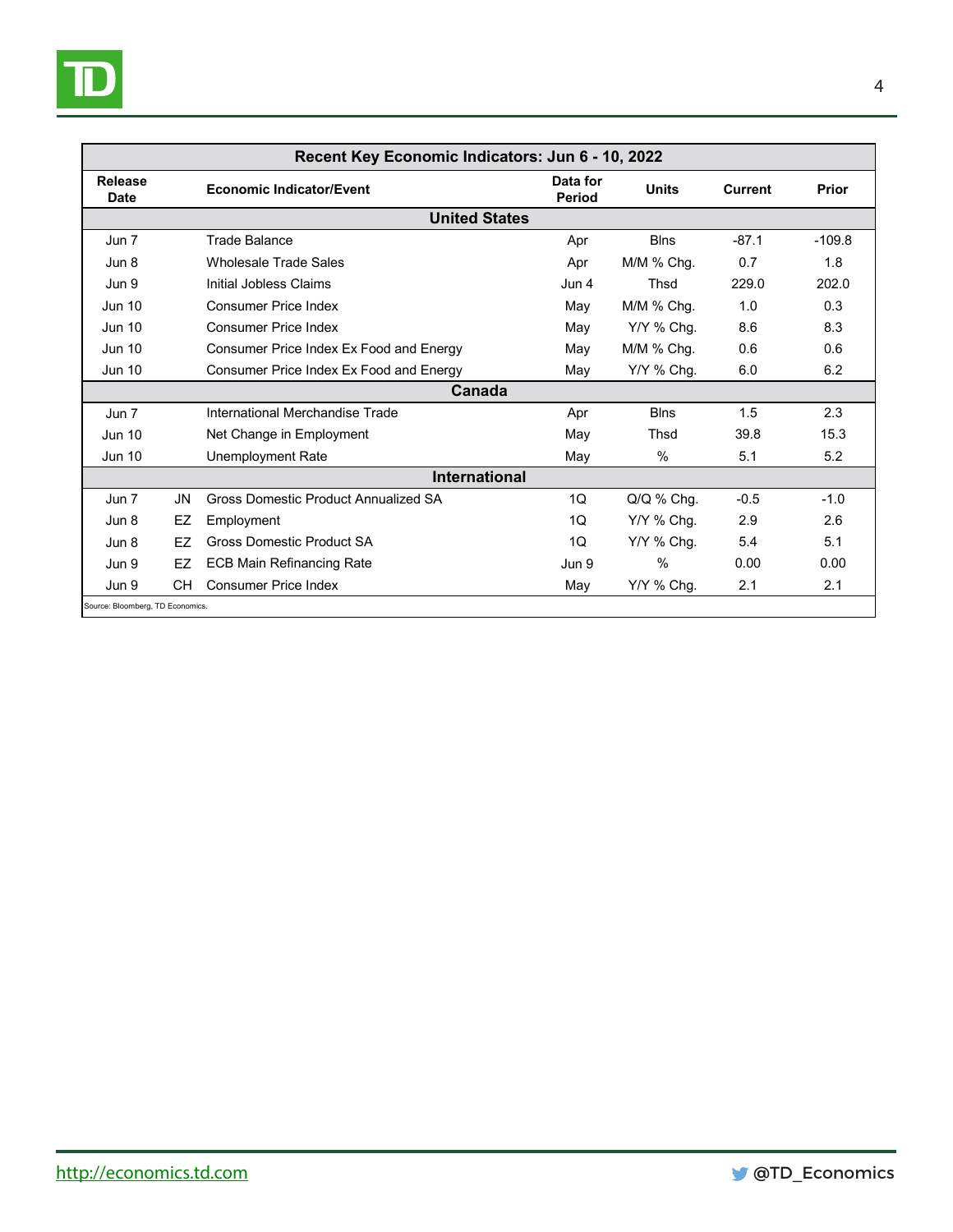

| Recent Key Economic Indicators: Jun 6 - 10, 2022 |    |                                         |                           |               |                |          |  |  |
|--------------------------------------------------|----|-----------------------------------------|---------------------------|---------------|----------------|----------|--|--|
| Release<br>Date                                  |    | <b>Economic Indicator/Event</b>         | Data for<br><b>Period</b> | <b>Units</b>  | <b>Current</b> | Prior    |  |  |
| <b>United States</b>                             |    |                                         |                           |               |                |          |  |  |
| Jun 7                                            |    | Trade Balance                           | Apr                       | <b>Blns</b>   | $-87.1$        | $-109.8$ |  |  |
| Jun 8                                            |    | <b>Wholesale Trade Sales</b>            | Apr                       | $M/M$ % Chg.  | 0.7            | 1.8      |  |  |
| Jun 9                                            |    | Initial Jobless Claims                  | Jun 4                     | Thsd          | 229.0          | 202.0    |  |  |
| <b>Jun 10</b>                                    |    | <b>Consumer Price Index</b>             | May                       | M/M % Chg.    | 1.0            | 0.3      |  |  |
| <b>Jun 10</b>                                    |    | Consumer Price Index                    | May                       | Y/Y % Chg.    | 8.6            | 8.3      |  |  |
| <b>Jun 10</b>                                    |    | Consumer Price Index Ex Food and Energy | May                       | M/M % Chg.    | 0.6            | 0.6      |  |  |
| <b>Jun 10</b>                                    |    | Consumer Price Index Ex Food and Energy | May                       | Y/Y % Chg.    | 6.0            | 6.2      |  |  |
|                                                  |    | Canada                                  |                           |               |                |          |  |  |
| Jun 7                                            |    | International Merchandise Trade         | Apr                       | <b>Blns</b>   | 1.5            | 2.3      |  |  |
| <b>Jun 10</b>                                    |    | Net Change in Employment                | May                       | Thsd          | 39.8           | 15.3     |  |  |
| <b>Jun 10</b>                                    |    | Unemployment Rate                       | May                       | $\%$          | 5.1            | 5.2      |  |  |
| International                                    |    |                                         |                           |               |                |          |  |  |
| Jun 7                                            | JN | Gross Domestic Product Annualized SA    | 1Q                        | $Q/Q$ % Chg.  | $-0.5$         | $-1.0$   |  |  |
| Jun 8                                            | EZ | Employment                              | 10                        | Y/Y % Chg.    | 2.9            | 2.6      |  |  |
| Jun 8                                            | F7 | <b>Gross Domestic Product SA</b>        | 10                        | Y/Y % Chg.    | 5.4            | 5.1      |  |  |
| Jun 9                                            | EZ | <b>ECB Main Refinancing Rate</b>        | Jun 9                     | $\frac{0}{0}$ | 0.00           | 0.00     |  |  |
| Jun 9                                            | CН | <b>Consumer Price Index</b>             | May                       | Y/Y % Chg.    | 2.1            | 2.1      |  |  |
| Source: Bloomberg, TD Economics.                 |    |                                         |                           |               |                |          |  |  |

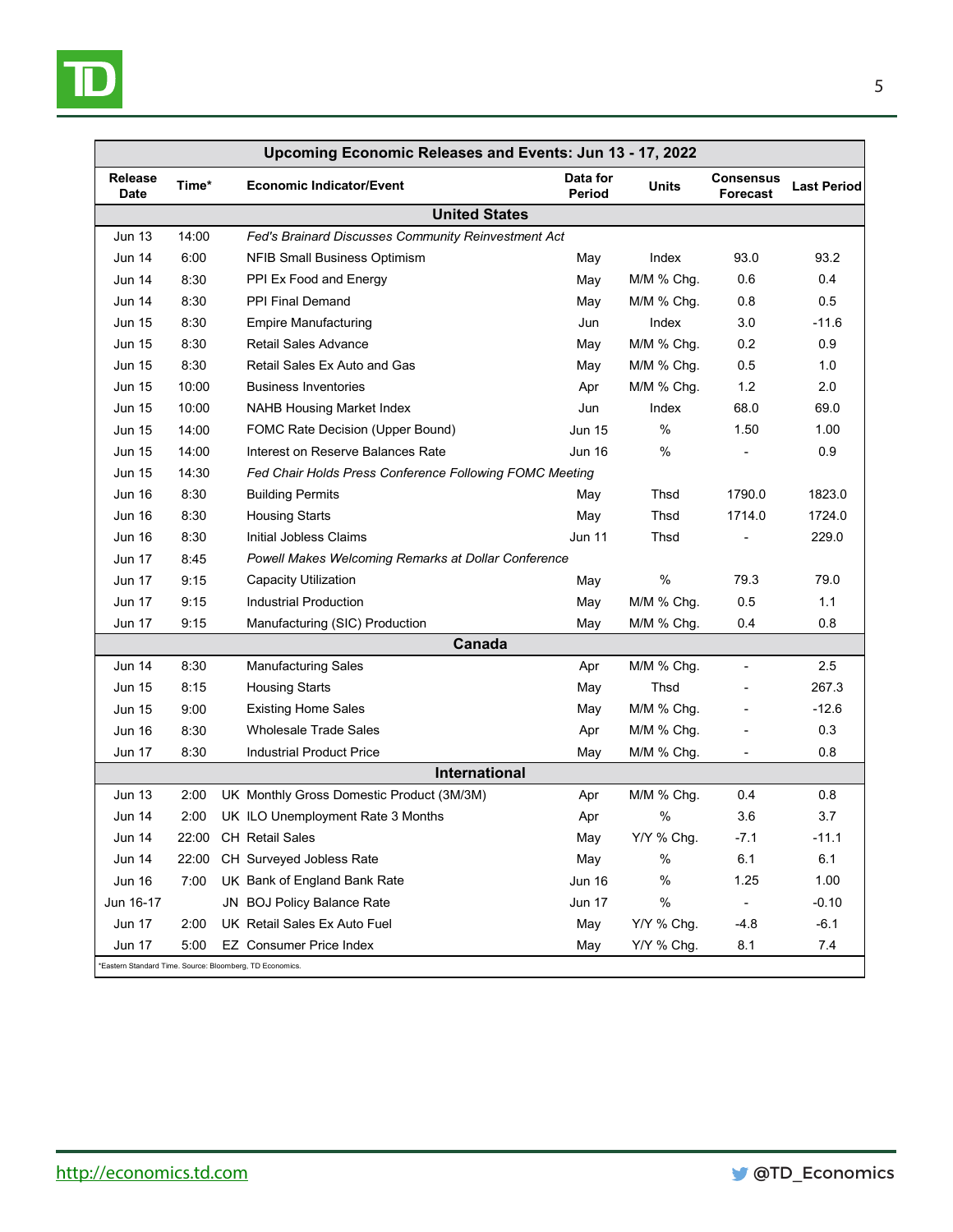

| Upcoming Economic Releases and Events: Jun 13 - 17, 2022 |       |  |                                                         |                    |              |                              |                    |  |
|----------------------------------------------------------|-------|--|---------------------------------------------------------|--------------------|--------------|------------------------------|--------------------|--|
| <b>Release</b><br><b>Date</b>                            | Time* |  | <b>Economic Indicator/Event</b>                         | Data for<br>Period | Units        | <b>Consensus</b><br>Forecast | <b>Last Period</b> |  |
| <b>United States</b>                                     |       |  |                                                         |                    |              |                              |                    |  |
| <b>Jun 13</b>                                            | 14:00 |  | Fed's Brainard Discusses Community Reinvestment Act     |                    |              |                              |                    |  |
| <b>Jun 14</b>                                            | 6:00  |  | <b>NFIB Small Business Optimism</b>                     | May                | Index        | 93.0                         | 93.2               |  |
| <b>Jun 14</b>                                            | 8:30  |  | PPI Ex Food and Energy                                  | May                | $M/M$ % Chg. | 0.6                          | 0.4                |  |
| <b>Jun 14</b>                                            | 8:30  |  | PPI Final Demand                                        | May                | M/M % Chg.   | 0.8                          | 0.5                |  |
| <b>Jun 15</b>                                            | 8:30  |  | <b>Empire Manufacturing</b>                             | Jun                | Index        | 3.0                          | $-11.6$            |  |
| <b>Jun 15</b>                                            | 8:30  |  | <b>Retail Sales Advance</b>                             | May                | M/M % Chg.   | 0.2                          | 0.9                |  |
| <b>Jun 15</b>                                            | 8:30  |  | Retail Sales Ex Auto and Gas                            | May                | M/M % Chq.   | 0.5                          | 1.0                |  |
| <b>Jun 15</b>                                            | 10:00 |  | <b>Business Inventories</b>                             | Apr                | M/M % Chg.   | 1.2                          | 2.0                |  |
| <b>Jun 15</b>                                            | 10:00 |  | <b>NAHB Housing Market Index</b>                        | Jun                | Index        | 68.0                         | 69.0               |  |
| <b>Jun 15</b>                                            | 14:00 |  | FOMC Rate Decision (Upper Bound)                        | <b>Jun 15</b>      | %            | 1.50                         | 1.00               |  |
| <b>Jun 15</b>                                            | 14:00 |  | Interest on Reserve Balances Rate                       | <b>Jun 16</b>      | $\%$         |                              | 0.9                |  |
| <b>Jun 15</b>                                            | 14:30 |  | Fed Chair Holds Press Conference Following FOMC Meeting |                    |              |                              |                    |  |
| <b>Jun 16</b>                                            | 8:30  |  | <b>Building Permits</b>                                 | May                | Thsd         | 1790.0                       | 1823.0             |  |
| <b>Jun 16</b>                                            | 8:30  |  | <b>Housing Starts</b>                                   | May                | Thsd         | 1714.0                       | 1724.0             |  |
| <b>Jun 16</b>                                            | 8:30  |  | Initial Jobless Claims                                  | <b>Jun 11</b>      | Thsd         |                              | 229.0              |  |
| <b>Jun 17</b>                                            | 8:45  |  | Powell Makes Welcoming Remarks at Dollar Conference     |                    |              |                              |                    |  |
| Jun 17                                                   | 9:15  |  | <b>Capacity Utilization</b>                             | May                | %            | 79.3                         | 79.0               |  |
| <b>Jun 17</b>                                            | 9:15  |  | <b>Industrial Production</b>                            | May                | M/M % Chg.   | 0.5                          | 1.1                |  |
| <b>Jun 17</b>                                            | 9:15  |  | Manufacturing (SIC) Production                          | May                | M/M % Chg.   | 0.4                          | 0.8                |  |
|                                                          |       |  | Canada                                                  |                    |              |                              |                    |  |
| <b>Jun 14</b>                                            | 8:30  |  | <b>Manufacturing Sales</b>                              | Apr                | M/M % Chg.   | ÷,                           | 2.5                |  |
| <b>Jun 15</b>                                            | 8:15  |  | <b>Housing Starts</b>                                   | May                | Thsd         |                              | 267.3              |  |
| <b>Jun 15</b>                                            | 9:00  |  | <b>Existing Home Sales</b>                              | May                | M/M % Chg.   |                              | $-12.6$            |  |
| <b>Jun 16</b>                                            | 8:30  |  | <b>Wholesale Trade Sales</b>                            | Apr                | M/M % Chg.   |                              | 0.3                |  |
| Jun 17                                                   | 8:30  |  | <b>Industrial Product Price</b>                         | May                | M/M % Chg.   | -                            | 0.8                |  |
| <b>International</b>                                     |       |  |                                                         |                    |              |                              |                    |  |
| <b>Jun 13</b>                                            | 2:00  |  | UK Monthly Gross Domestic Product (3M/3M)               | Apr                | M/M % Chg.   | 0.4                          | 0.8                |  |
| <b>Jun 14</b>                                            | 2:00  |  | UK ILO Unemployment Rate 3 Months                       | Apr                | $\%$         | 3.6                          | 3.7                |  |
| Jun 14                                                   |       |  | 22:00 CH Retail Sales                                   | May                | Y/Y % Chg.   | $-7.1$                       | $-11.1$            |  |
| Jun 14                                                   |       |  | 22:00 CH Surveyed Jobless Rate                          | May                | %            | 6.1                          | 6.1                |  |
| <b>Jun 16</b>                                            | 7:00  |  | UK Bank of England Bank Rate                            | <b>Jun 16</b>      | %            | 1.25                         | 1.00               |  |
| Jun 16-17                                                |       |  | JN BOJ Policy Balance Rate                              | <b>Jun 17</b>      | %            | $\overline{\phantom{a}}$     | $-0.10$            |  |
| <b>Jun 17</b>                                            | 2:00  |  | UK Retail Sales Ex Auto Fuel                            | May                | Y/Y % Chg.   | $-4.8$                       | $-6.1$             |  |
| Jun 17                                                   | 5:00  |  | EZ Consumer Price Index                                 | May                | Y/Y % Chg.   | 8.1                          | 7.4                |  |
| *Eastern Standard Time. Source: Bloomberg, TD Economics. |       |  |                                                         |                    |              |                              |                    |  |